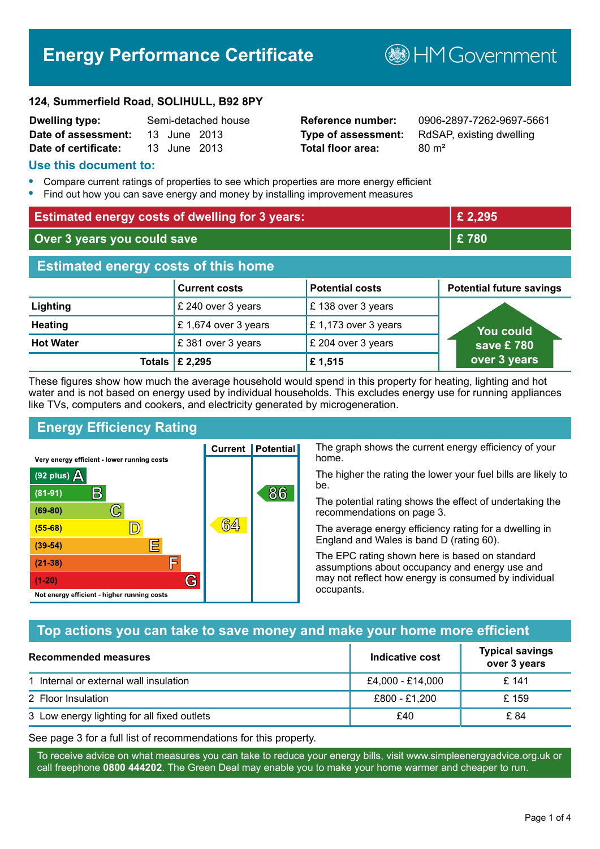# **Energy Performance Certificate**

**B**HM Government

#### **124, Summerfield Road, SOLIHULL, B92 8PY**

| <b>Dwelling type:</b> |              | Semi-detached house |
|-----------------------|--------------|---------------------|
| Date of assessment:   | 13 June 2013 |                     |
| Date of certificate:  | 13 June 2013 |                     |

# **Total floor area:** 80 m<sup>2</sup>

**Reference number:** 0906-2897-7262-9697-5661 **Type of assessment:** RdSAP, existing dwelling

#### **Use this document to:**

- **•** Compare current ratings of properties to see which properties are more energy efficient
- **•** Find out how you can save energy and money by installing improvement measures

| <b>Estimated energy costs of dwelling for 3 years:</b> |                           |                        | £ 2,295                         |
|--------------------------------------------------------|---------------------------|------------------------|---------------------------------|
| Over 3 years you could save                            |                           | £780                   |                                 |
| <b>Estimated energy costs of this home</b>             |                           |                        |                                 |
|                                                        | <b>Current costs</b>      | <b>Potential costs</b> | <b>Potential future savings</b> |
| Lighting                                               | £ 240 over 3 years        | £138 over 3 years      |                                 |
| <b>Heating</b>                                         | £1,674 over 3 years       | £1,173 over 3 years    | <b>You could</b>                |
| <b>Hot Water</b>                                       | £381 over 3 years         | £ 204 over 3 years     | save £ $780^{\circ}$            |
|                                                        | Totals $\mathsf{E}$ 2,295 | £1,515                 | over 3 years                    |

These figures show how much the average household would spend in this property for heating, lighting and hot water and is not based on energy used by individual households. This excludes energy use for running appliances like TVs, computers and cookers, and electricity generated by microgeneration.

**Current | Potential** 

**64** 

# **Energy Efficiency Rating**

 $\mathbb{C}$ 

 $\mathbb{D}$ 

E

E

G

Very energy efficient - lower running costs

 $\mathsf{R}% _{T}$ 

Not energy efficient - higher running costs

(92 plus)  $\Delta$ 

 $(81 - 91)$ 

 $(69 - 80)$ 

 $(55-68)$ 

 $(39 - 54)$  $(21-38)$ 

 $(1-20)$ 

The graph shows the current energy efficiency of your home.

The higher the rating the lower your fuel bills are likely to be.

The potential rating shows the effect of undertaking the recommendations on page 3.

The average energy efficiency rating for a dwelling in England and Wales is band D (rating 60).

The EPC rating shown here is based on standard assumptions about occupancy and energy use and may not reflect how energy is consumed by individual occupants.

# **Top actions you can take to save money and make your home more efficient**

86

| Recommended measures                        | Indicative cost  | <b>Typical savings</b><br>over 3 years |
|---------------------------------------------|------------------|----------------------------------------|
| 1 Internal or external wall insulation      | £4,000 - £14,000 | £ 141                                  |
| 2 Floor Insulation                          | £800 - £1,200    | £159                                   |
| 3 Low energy lighting for all fixed outlets | £40              | £ 84                                   |

See page 3 for a full list of recommendations for this property.

To receive advice on what measures you can take to reduce your energy bills, visit www.simpleenergyadvice.org.uk or call freephone **0800 444202**. The Green Deal may enable you to make your home warmer and cheaper to run.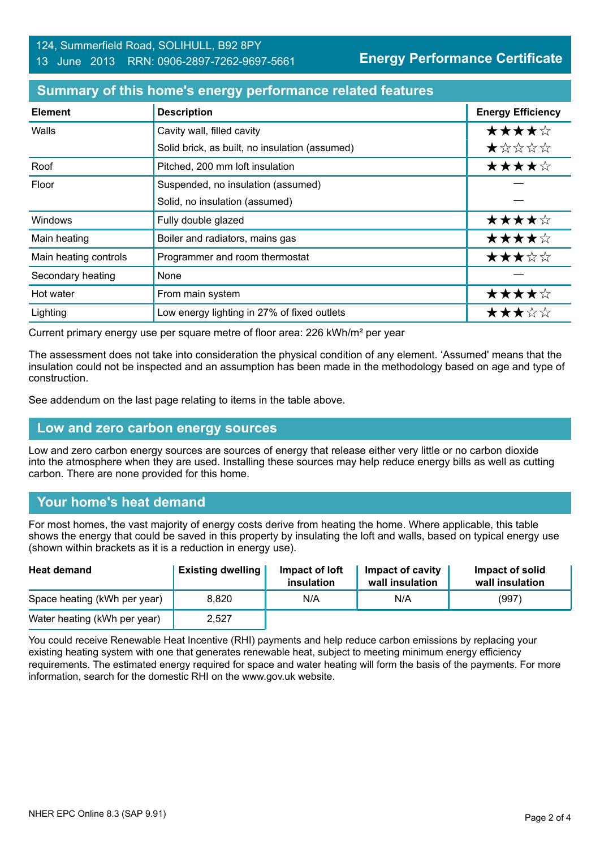### **Summary of this home's energy performance related features**

| <b>Element</b>        | <b>Description</b>                             | <b>Energy Efficiency</b> |
|-----------------------|------------------------------------------------|--------------------------|
| Walls                 | Cavity wall, filled cavity                     | ★★★★☆                    |
|                       | Solid brick, as built, no insulation (assumed) | ★☆☆☆☆                    |
| Roof                  | Pitched, 200 mm loft insulation                | ★★★★☆                    |
| Floor                 | Suspended, no insulation (assumed)             |                          |
|                       | Solid, no insulation (assumed)                 |                          |
| Windows               | Fully double glazed                            | ★★★★☆                    |
| Main heating          | Boiler and radiators, mains gas                | ★★★★☆                    |
| Main heating controls | Programmer and room thermostat                 | ★★★☆☆                    |
| Secondary heating     | None                                           |                          |
| Hot water             | From main system                               | ★★★★☆                    |
| Lighting              | Low energy lighting in 27% of fixed outlets    | ★★★☆☆                    |

Current primary energy use per square metre of floor area: 226 kWh/m² per year

The assessment does not take into consideration the physical condition of any element. 'Assumed' means that the insulation could not be inspected and an assumption has been made in the methodology based on age and type of construction.

See addendum on the last page relating to items in the table above.

#### **Low and zero carbon energy sources**

Low and zero carbon energy sources are sources of energy that release either very little or no carbon dioxide into the atmosphere when they are used. Installing these sources may help reduce energy bills as well as cutting carbon. There are none provided for this home.

# **Your home's heat demand**

For most homes, the vast majority of energy costs derive from heating the home. Where applicable, this table shows the energy that could be saved in this property by insulating the loft and walls, based on typical energy use (shown within brackets as it is a reduction in energy use).

| <b>Heat demand</b>           | <b>Existing dwelling</b> | Impact of loft<br>insulation | Impact of cavity<br>wall insulation | Impact of solid<br>wall insulation |
|------------------------------|--------------------------|------------------------------|-------------------------------------|------------------------------------|
| Space heating (kWh per year) | 8.820                    | N/A                          | N/A                                 | (997)                              |
| Water heating (kWh per year) | 2,527                    |                              |                                     |                                    |

You could receive Renewable Heat Incentive (RHI) payments and help reduce carbon emissions by replacing your existing heating system with one that generates renewable heat, subject to meeting minimum energy efficiency requirements. The estimated energy required for space and water heating will form the basis of the payments. For more information, search for the domestic RHI on the www.gov.uk website.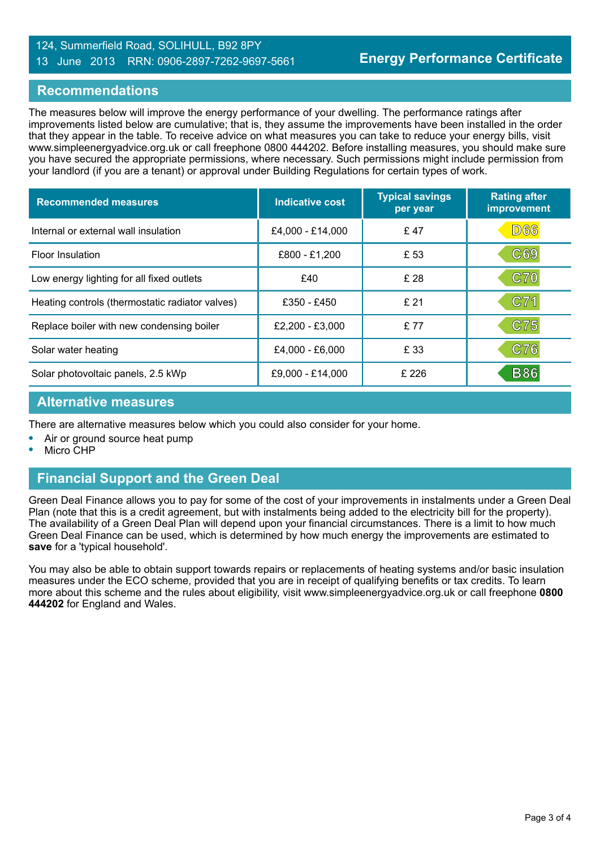#### 124, Summerfield Road, SOLIHULL, B92 8PY 13 June 2013 RRN: 0906-2897-7262-9697-5661

#### **Recommendations**

The measures below will improve the energy performance of your dwelling. The performance ratings after improvements listed below are cumulative; that is, they assume the improvements have been installed in the order that they appear in the table. To receive advice on what measures you can take to reduce your energy bills, visit www.simpleenergyadvice.org.uk or call freephone 0800 444202. Before installing measures, you should make sure you have secured the appropriate permissions, where necessary. Such permissions might include permission from your landlord (if you are a tenant) or approval under Building Regulations for certain types of work.

| <b>Recommended measures</b>                     | Indicative cost  | <b>Typical savings</b><br>per year | <b>Rating after</b><br>improvement |
|-------------------------------------------------|------------------|------------------------------------|------------------------------------|
| Internal or external wall insulation            | £4,000 - £14,000 | £47                                | <b>D66</b>                         |
| <b>Floor Insulation</b>                         | £800 - £1,200    | £ 53                               | C69                                |
| Low energy lighting for all fixed outlets       | £40              | £ 28                               | C70                                |
| Heating controls (thermostatic radiator valves) | £350 - £450      | £21                                | C71                                |
| Replace boiler with new condensing boiler       | £2,200 - £3,000  | £77                                | C75                                |
| Solar water heating                             | £4,000 - £6,000  | £ 33                               | C76                                |
| Solar photovoltaic panels, 2.5 kWp              | £9,000 - £14,000 | £ 226                              | <b>B86</b>                         |

#### **Alternative measures**

There are alternative measures below which you could also consider for your home.

- **•** Air or ground source heat pump
- **•** Micro CHP

# **Financial Support and the Green Deal**

Green Deal Finance allows you to pay for some of the cost of your improvements in instalments under a Green Deal Plan (note that this is a credit agreement, but with instalments being added to the electricity bill for the property). The availability of a Green Deal Plan will depend upon your financial circumstances. There is a limit to how much Green Deal Finance can be used, which is determined by how much energy the improvements are estimated to **save** for a 'typical household'.

You may also be able to obtain support towards repairs or replacements of heating systems and/or basic insulation measures under the ECO scheme, provided that you are in receipt of qualifying benefits or tax credits. To learn more about this scheme and the rules about eligibility, visit www.simpleenergyadvice.org.uk or call freephone **0800 444202** for England and Wales.